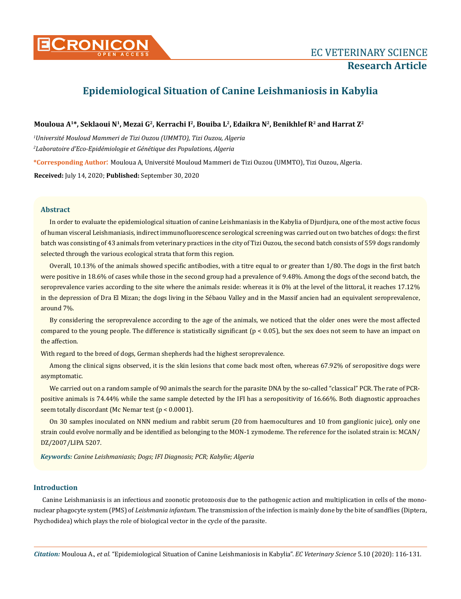

# **Epidemiological Situation of Canine Leishmaniosis in Kabylia**

# **Mouloua A1\*, Seklaoui N1, Mezai G2, Kerrachi I2, Bouiba L2, Edaikra N2, Benikhlef R2 and Harrat Z2**

*1 Université Mouloud Mammeri de Tizi Ouzou (UMMTO), Tizi Ouzou, Algeria 2 Laboratoire d'Eco-Epidémiologie et Génétique des Populations, Algeria*

**\*Corresponding Author**: Mouloua A, Université Mouloud Mammeri de Tizi Ouzou (UMMTO), Tizi Ouzou, Algeria.

**Received:** July 14, 2020; **Published:** September 30, 2020

# **Abstract**

In order to evaluate the epidemiological situation of canine Leishmaniasis in the Kabylia of Djurdjura, one of the most active focus of human visceral Leishmaniasis, indirect immunofluorescence serological screening was carried out on two batches of dogs: the first batch was consisting of 43 animals from veterinary practices in the city of Tizi Ouzou, the second batch consists of 559 dogs randomly selected through the various ecological strata that form this region.

Overall, 10.13% of the animals showed specific antibodies, with a titre equal to or greater than 1/80. The dogs in the first batch were positive in 18.6% of cases while those in the second group had a prevalence of 9.48%. Among the dogs of the second batch, the seroprevalence varies according to the site where the animals reside: whereas it is 0% at the level of the littoral, it reaches 17.12% in the depression of Dra El Mizan; the dogs living in the Sébaou Valley and in the Massif ancien had an equivalent seroprevalence, around 7%.

By considering the seroprevalence according to the age of the animals, we noticed that the older ones were the most affected compared to the young people. The difference is statistically significant (p < 0.05), but the sex does not seem to have an impact on the affection.

With regard to the breed of dogs, German shepherds had the highest seroprevalence.

Among the clinical signs observed, it is the skin lesions that come back most often, whereas 67.92% of seropositive dogs were asymptomatic.

We carried out on a random sample of 90 animals the search for the parasite DNA by the so-called "classical" PCR. The rate of PCRpositive animals is 74.44% while the same sample detected by the IFI has a seropositivity of 16.66%. Both diagnostic approaches seem totally discordant (Mc Nemar test (p < 0.0001).

On 30 samples inoculated on NNN medium and rabbit serum (20 from haemocultures and 10 from ganglionic juice), only one strain could evolve normally and be identified as belonging to the MON-1 zymodeme. The reference for the isolated strain is: MCAN/ DZ/2007/LIPA 5207.

*Keywords: Canine Leishmaniasis; Dogs; IFI Diagnosis; PCR; Kabylie; Algeria*

# **Introduction**

Canine Leishmaniasis is an infectious and zoonotic protozoosis due to the pathogenic action and multiplication in cells of the mononuclear phagocyte system (PMS) of *Leishmania infantum*. The transmission of the infection is mainly done by the bite of sandflies (Diptera, Psychodidea) which plays the role of biological vector in the cycle of the parasite.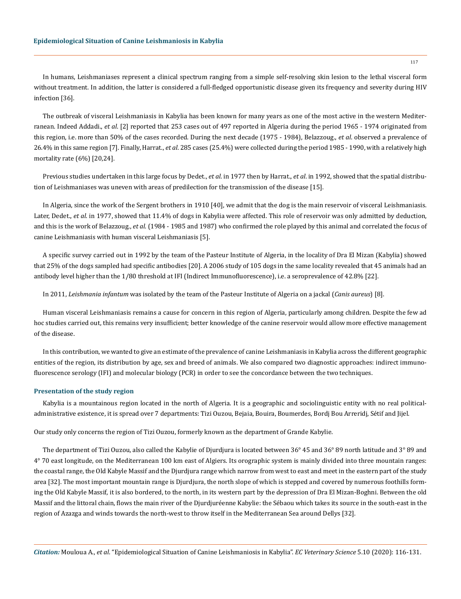In humans, Leishmaniases represent a clinical spectrum ranging from a simple self-resolving skin lesion to the lethal visceral form without treatment. In addition, the latter is considered a full-fledged opportunistic disease given its frequency and severity during HIV infection [36].

The outbreak of visceral Leishmaniasis in Kabylia has been known for many years as one of the most active in the western Mediterranean. Indeed Addadi., *et al*. [2] reported that 253 cases out of 497 reported in Algeria during the period 1965 - 1974 originated from this region, i.e. more than 50% of the cases recorded. During the next decade (1975 - 1984), Belazzoug., *et al*. observed a prevalence of 26.4% in this same region [7]. Finally, Harrat., *et al*. 285 cases (25.4%) were collected during the period 1985 - 1990, with a relatively high mortality rate (6%) [20,24].

Previous studies undertaken in this large focus by Dedet., *et al*. in 1977 then by Harrat., *et al*. in 1992, showed that the spatial distribution of Leishmaniases was uneven with areas of predilection for the transmission of the disease [15].

In Algeria, since the work of the Sergent brothers in 1910 [40], we admit that the dog is the main reservoir of visceral Leishmaniasis. Later, Dedet., *et al*. in 1977, showed that 11.4% of dogs in Kabylia were affected. This role of reservoir was only admitted by deduction, and this is the work of Belazzoug., *et al*. (1984 - 1985 and 1987) who confirmed the role played by this animal and correlated the focus of canine Leishmaniasis with human visceral Leishmaniasis [5].

A specific survey carried out in 1992 by the team of the Pasteur Institute of Algeria, in the locality of Dra El Mizan (Kabylia) showed that 25% of the dogs sampled had specific antibodies [20]. A 2006 study of 105 dogs in the same locality revealed that 45 animals had an antibody level higher than the 1/80 threshold at IFI (Indirect Immunofluorescence), i.e. a seroprevalence of 42.8% [22].

In 2011, *Leishmania infantum* was isolated by the team of the Pasteur Institute of Algeria on a jackal (*Canis aureus*) [8].

Human visceral Leishmaniasis remains a cause for concern in this region of Algeria, particularly among children. Despite the few ad hoc studies carried out, this remains very insufficient; better knowledge of the canine reservoir would allow more effective management of the disease.

In this contribution, we wanted to give an estimate of the prevalence of canine Leishmaniasis in Kabylia across the different geographic entities of the region, its distribution by age, sex and breed of animals. We also compared two diagnostic approaches: indirect immunofluorescence serology (IFI) and molecular biology (PCR) in order to see the concordance between the two techniques.

# **Presentation of the study region**

Kabylia is a mountainous region located in the north of Algeria. It is a geographic and sociolinguistic entity with no real politicaladministrative existence, it is spread over 7 departments: Tizi Ouzou, Bejaia, Bouira, Boumerdes, Bordj Bou Arreridj, Sétif and Jijel.

Our study only concerns the region of Tizi Ouzou, formerly known as the department of Grande Kabylie.

The department of Tizi Ouzou, also called the Kabylie of Djurdjura is located between 36° 45 and 36° 89 north latitude and 3° 89 and 4° 70 east longitude, on the Mediterranean 100 km east of Algiers. Its orographic system is mainly divided into three mountain ranges: the coastal range, the Old Kabyle Massif and the Djurdjura range which narrow from west to east and meet in the eastern part of the study area [32]. The most important mountain range is Djurdjura, the north slope of which is stepped and covered by numerous foothills forming the Old Kabyle Massif, it is also bordered, to the north, in its western part by the depression of Dra El Mizan-Boghni. Between the old Massif and the littoral chain, flows the main river of the Djurdjuréenne Kabylie: the Sébaou which takes its source in the south-east in the region of Azazga and winds towards the north-west to throw itself in the Mediterranean Sea around Dellys [32].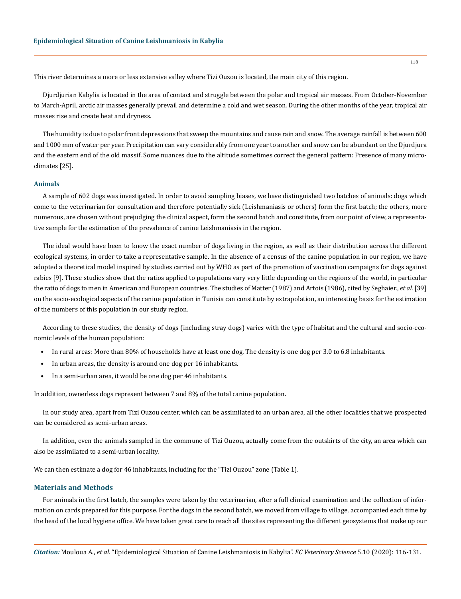This river determines a more or less extensive valley where Tizi Ouzou is located, the main city of this region.

Djurdjurian Kabylia is located in the area of contact and struggle between the polar and tropical air masses. From October-November to March-April, arctic air masses generally prevail and determine a cold and wet season. During the other months of the year, tropical air masses rise and create heat and dryness.

The humidity is due to polar front depressions that sweep the mountains and cause rain and snow. The average rainfall is between 600 and 1000 mm of water per year. Precipitation can vary considerably from one year to another and snow can be abundant on the Djurdjura and the eastern end of the old massif. Some nuances due to the altitude sometimes correct the general pattern: Presence of many microclimates [25].

## **Animals**

A sample of 602 dogs was investigated. In order to avoid sampling biases, we have distinguished two batches of animals: dogs which come to the veterinarian for consultation and therefore potentially sick (Leishmaniasis or others) form the first batch; the others, more numerous, are chosen without prejudging the clinical aspect, form the second batch and constitute, from our point of view, a representative sample for the estimation of the prevalence of canine Leishmaniasis in the region.

The ideal would have been to know the exact number of dogs living in the region, as well as their distribution across the different ecological systems, in order to take a representative sample. In the absence of a census of the canine population in our region, we have adopted a theoretical model inspired by studies carried out by WHO as part of the promotion of vaccination campaigns for dogs against rabies [9]. These studies show that the ratios applied to populations vary very little depending on the regions of the world, in particular the ratio of dogs to men in American and European countries. The studies of Matter (1987) and Artois (1986), cited by Seghaier., *et al*. [39] on the socio-ecological aspects of the canine population in Tunisia can constitute by extrapolation, an interesting basis for the estimation of the numbers of this population in our study region.

According to these studies, the density of dogs (including stray dogs) varies with the type of habitat and the cultural and socio-economic levels of the human population:

- In rural areas: More than 80% of households have at least one dog. The density is one dog per 3.0 to 6.8 inhabitants.
- In urban areas, the density is around one dog per 16 inhabitants.
- In a semi-urban area, it would be one dog per 46 inhabitants.

In addition, ownerless dogs represent between 7 and 8% of the total canine population.

In our study area, apart from Tizi Ouzou center, which can be assimilated to an urban area, all the other localities that we prospected can be considered as semi-urban areas.

In addition, even the animals sampled in the commune of Tizi Ouzou, actually come from the outskirts of the city, an area which can also be assimilated to a semi-urban locality.

We can then estimate a dog for 46 inhabitants, including for the "Tizi Ouzou" zone (Table 1).

# **Materials and Methods**

For animals in the first batch, the samples were taken by the veterinarian, after a full clinical examination and the collection of information on cards prepared for this purpose. For the dogs in the second batch, we moved from village to village, accompanied each time by the head of the local hygiene office. We have taken great care to reach all the sites representing the different geosystems that make up our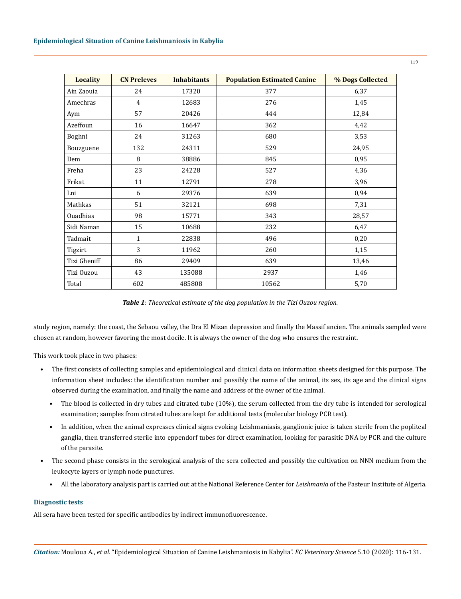| <b>Locality</b> | <b>CN Preleves</b> | <b>Inhabitants</b> | <b>Population Estimated Canine</b> | % Dogs Collected |
|-----------------|--------------------|--------------------|------------------------------------|------------------|
| Ain Zaouia      | 24                 | 17320              | 377                                | 6,37             |
| Amechras        | $\overline{4}$     | 12683              | 276                                | 1,45             |
| Aym             | 57                 | 20426              | 444                                | 12,84            |
| Azeffoun        | 16                 | 16647              | 362                                | 4,42             |
| Boghni          | 24                 | 31263              | 680                                | 3,53             |
| Bouzguene       | 132                | 24311              | 529                                | 24,95            |
| Dem             | 8                  | 38886              | 845                                | 0,95             |
| Freha           | 23                 | 24228              | 527                                | 4,36             |
| Frikat          | 11                 | 12791              | 278                                | 3,96             |
| Lni             | 6                  | 29376              | 639                                | 0,94             |
| Mathkas         | 51                 | 32121              | 698                                | 7,31             |
| Ouadhias        | 98                 | 15771              | 343                                | 28,57            |
| Sidi Naman      | 15                 | 10688              | 232                                | 6,47             |
| Tadmait         | $\mathbf{1}$       | 22838              | 496                                | 0,20             |
| Tigzirt         | 3                  | 11962              | 260                                | 1,15             |
| Tizi Gheniff    | 86                 | 29409              | 639                                | 13,46            |
| Tizi Ouzou      | 43                 | 135088             | 2937                               | 1,46             |
| Total           | 602                | 485808             | 10562                              | 5,70             |

| Table 1: Theoretical estimate of the dog population in the Tizi Ouzou region. |  |  |
|-------------------------------------------------------------------------------|--|--|
|-------------------------------------------------------------------------------|--|--|

study region, namely: the coast, the Sebaou valley, the Dra El Mizan depression and finally the Massif ancien. The animals sampled were chosen at random, however favoring the most docile. It is always the owner of the dog who ensures the restraint.

This work took place in two phases:

- The first consists of collecting samples and epidemiological and clinical data on information sheets designed for this purpose. The information sheet includes: the identification number and possibly the name of the animal, its sex, its age and the clinical signs observed during the examination, and finally the name and address of the owner of the animal.
	- The blood is collected in dry tubes and citrated tube (10%), the serum collected from the dry tube is intended for serological examination; samples from citrated tubes are kept for additional tests (molecular biology PCR test).
	- In addition, when the animal expresses clinical signs evoking Leishmaniasis, ganglionic juice is taken sterile from the popliteal ganglia, then transferred sterile into eppendorf tubes for direct examination, looking for parasitic DNA by PCR and the culture of the parasite.
- The second phase consists in the serological analysis of the sera collected and possibly the cultivation on NNN medium from the leukocyte layers or lymph node punctures.
	- All the laboratory analysis part is carried out at the National Reference Center for *Leishmania* of the Pasteur Institute of Algeria.

# **Diagnostic tests**

All sera have been tested for specific antibodies by indirect immunofluorescence.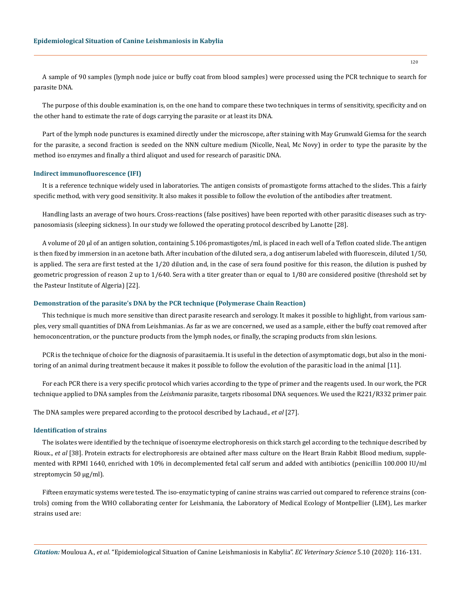A sample of 90 samples (lymph node juice or buffy coat from blood samples) were processed using the PCR technique to search for parasite DNA.

The purpose of this double examination is, on the one hand to compare these two techniques in terms of sensitivity, specificity and on the other hand to estimate the rate of dogs carrying the parasite or at least its DNA.

Part of the lymph node punctures is examined directly under the microscope, after staining with May Grunwald Giemsa for the search for the parasite, a second fraction is seeded on the NNN culture medium (Nicolle, Neal, Mc Novy) in order to type the parasite by the method iso enzymes and finally a third aliquot and used for research of parasitic DNA.

#### **Indirect immunofluorescence (IFI)**

It is a reference technique widely used in laboratories. The antigen consists of promastigote forms attached to the slides. This a fairly specific method, with very good sensitivity. It also makes it possible to follow the evolution of the antibodies after treatment.

Handling lasts an average of two hours. Cross-reactions (false positives) have been reported with other parasitic diseases such as trypanosomiasis (sleeping sickness). In our study we followed the operating protocol described by Lanotte [28].

A volume of 20 μl of an antigen solution, containing 5.106 promastigotes/ml, is placed in each well of a Teflon coated slide. The antigen is then fixed by immersion in an acetone bath. After incubation of the diluted sera, a dog antiserum labeled with fluorescein, diluted 1/50, is applied. The sera are first tested at the 1/20 dilution and, in the case of sera found positive for this reason, the dilution is pushed by geometric progression of reason 2 up to 1/640. Sera with a titer greater than or equal to 1/80 are considered positive (threshold set by the Pasteur Institute of Algeria) [22].

## **Demonstration of the parasite's DNA by the PCR technique (Polymerase Chain Reaction)**

This technique is much more sensitive than direct parasite research and serology. It makes it possible to highlight, from various samples, very small quantities of DNA from Leishmanias. As far as we are concerned, we used as a sample, either the buffy coat removed after hemoconcentration, or the puncture products from the lymph nodes, or finally, the scraping products from skin lesions.

PCR is the technique of choice for the diagnosis of parasitaemia. It is useful in the detection of asymptomatic dogs, but also in the monitoring of an animal during treatment because it makes it possible to follow the evolution of the parasitic load in the animal [11].

For each PCR there is a very specific protocol which varies according to the type of primer and the reagents used. In our work, the PCR technique applied to DNA samples from the *Leishmania* parasite, targets ribosomal DNA sequences. We used the R221/R332 primer pair.

The DNA samples were prepared according to the protocol described by Lachaud., *et al* [27].

## **Identification of strains**

The isolates were identified by the technique of isoenzyme electrophoresis on thick starch gel according to the technique described by Rioux., *et al* [38]. Protein extracts for electrophoresis are obtained after mass culture on the Heart Brain Rabbit Blood medium, supplemented with RPMI 1640, enriched with 10% in decomplemented fetal calf serum and added with antibiotics (penicillin 100.000 IU/ml streptomycin 50 μg/ml).

Fifteen enzymatic systems were tested. The iso-enzymatic typing of canine strains was carried out compared to reference strains (controls) coming from the WHO collaborating center for Leishmania, the Laboratory of Medical Ecology of Montpellier (LEM), Les marker strains used are:

*Citation:* Mouloua A., *et al*. "Epidemiological Situation of Canine Leishmaniosis in Kabylia". *EC Veterinary Science* 5.10 (2020): 116-131.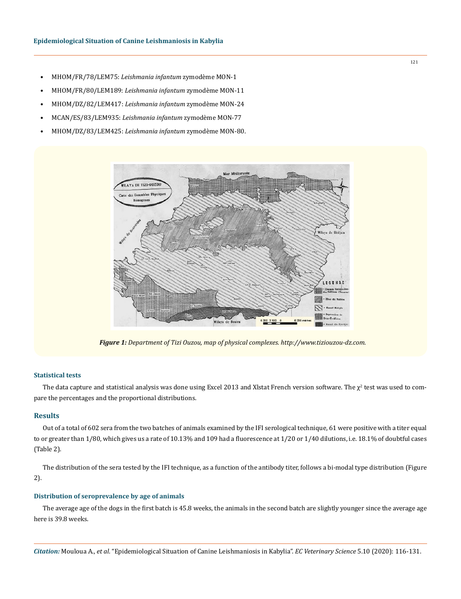- MHOM/FR/78/LEM75: *Leishmania infantum* zymodème MON-1
- MHOM/FR/80/LEM189: *Leishmania infantum* zymodème MON-11
- MHOM/DZ/82/LEM417: *Leishmania infantum* zymodème MON-24
- MCAN/ES/83/LEM935: *Leishmania infantum* zymodème MON-77
- MHOM/DZ/83/LEM425: *Leishmania infantum* zymodème MON-80.



*Figure 1: Department of Tizi Ouzou, map of physical complexes. http://www.tiziouzou-dz.com.*

## **Statistical tests**

The data capture and statistical analysis was done using Excel 2013 and XIstat French version software. The  $\chi^2$  test was used to compare the percentages and the proportional distributions.

# **Results**

Out of a total of 602 sera from the two batches of animals examined by the IFI serological technique, 61 were positive with a titer equal to or greater than 1/80, which gives us a rate of 10.13% and 109 had a fluorescence at 1/20 or 1/40 dilutions, i.e. 18.1% of doubtful cases (Table 2).

The distribution of the sera tested by the IFI technique, as a function of the antibody titer, follows a bi-modal type distribution (Figure 2).

# **Distribution of seroprevalence by age of animals**

The average age of the dogs in the first batch is 45.8 weeks, the animals in the second batch are slightly younger since the average age here is 39.8 weeks.

*Citation:* Mouloua A., *et al*. "Epidemiological Situation of Canine Leishmaniosis in Kabylia". *EC Veterinary Science* 5.10 (2020): 116-131.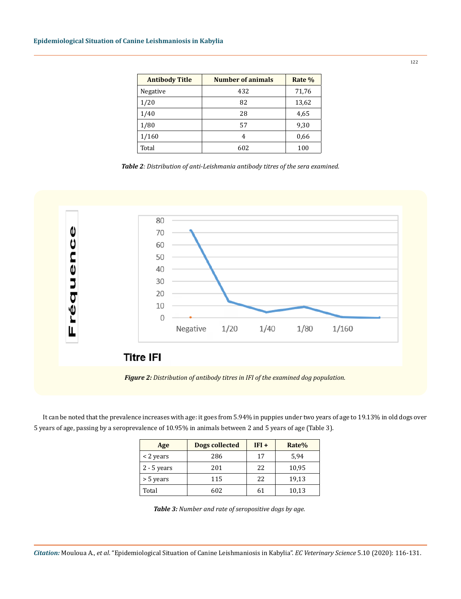| <b>Antibody Title</b> | <b>Number of animals</b> | Rate % |
|-----------------------|--------------------------|--------|
| Negative              | 432                      | 71,76  |
| 1/20                  | 82                       | 13,62  |
| 1/40                  | 28                       | 4,65   |
| 1/80                  | 57                       | 9,30   |
| 1/160                 | 4                        | 0,66   |
| Total                 | 602                      | 100    |

*Table 2: Distribution of anti-Leishmania antibody titres of the sera examined.*



It can be noted that the prevalence increases with age: it goes from 5.94% in puppies under two years of age to 19.13% in old dogs over 5 years of age, passing by a seroprevalence of 10.95% in animals between 2 and 5 years of age (Table 3).

| Age           | Dogs collected | $IFI +$ | Rate% |
|---------------|----------------|---------|-------|
| < 2 years     | 286            | 17      | 5,94  |
| $2 - 5$ years | 201            | 22      | 10,95 |
| > 5 years     | 115            | 22      | 19,13 |
| Total         | 602            | 61      | 10,13 |

*Table 3: Number and rate of seropositive dogs by age.*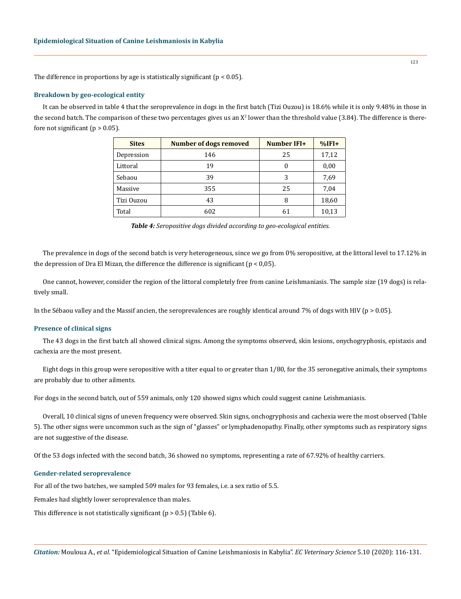The difference in proportions by age is statistically significant ( $p < 0.05$ ).

#### **Breakdown by geo-ecological entity**

It can be observed in table 4 that the seroprevalence in dogs in the first batch (Tizi Ouzou) is 18.6% while it is only 9.48% in those in the second batch. The comparison of these two percentages gives us an  $X^2$  lower than the threshold value (3.84). The difference is therefore not significant  $(p > 0.05)$ .

| <b>Sites</b> | <b>Number of dogs removed</b> | Number IFI+ | $%IFI+$ |
|--------------|-------------------------------|-------------|---------|
| Depression   | 146                           | 25          | 17,12   |
| Littoral     | 19                            |             | 0,00    |
| Sebaou       | 39                            |             | 7,69    |
| Massive      | 355                           | 25          | 7,04    |
| Tizi Ouzou   | 43                            | 8           | 18,60   |
| Total        | 602                           | 61          | 10,13   |

*Table 4: Seropositive dogs divided according to geo-ecological entities.*

The prevalence in dogs of the second batch is very heterogeneous, since we go from 0% seropositive, at the littoral level to 17.12% in the depression of Dra El Mizan, the difference the difference is significant ( $p < 0.05$ ).

One cannot, however, consider the region of the littoral completely free from canine Leishmaniasis. The sample size (19 dogs) is relatively small.

In the Sébaou valley and the Massif ancien, the seroprevalences are roughly identical around 7% of dogs with HIV ( $p > 0.05$ ).

# **Presence of clinical signs**

The 43 dogs in the first batch all showed clinical signs. Among the symptoms observed, skin lesions, onychogryphosis, epistaxis and cachexia are the most present.

Eight dogs in this group were seropositive with a titer equal to or greater than 1/80, for the 35 seronegative animals, their symptoms are probably due to other ailments.

For dogs in the second batch, out of 559 animals, only 120 showed signs which could suggest canine Leishmaniasis.

Overall, 10 clinical signs of uneven frequency were observed. Skin signs, onchogryphosis and cachexia were the most observed (Table 5). The other signs were uncommon such as the sign of "glasses" or lymphadenopathy. Finally, other symptoms such as respiratory signs are not suggestive of the disease.

Of the 53 dogs infected with the second batch, 36 showed no symptoms, representing a rate of 67.92% of healthy carriers.

# **Gender-related seroprevalence**

For all of the two batches, we sampled 509 males for 93 females, i.e. a sex ratio of 5.5.

Females had slightly lower seroprevalence than males.

This difference is not statistically significant  $(p > 0.5)$  (Table 6).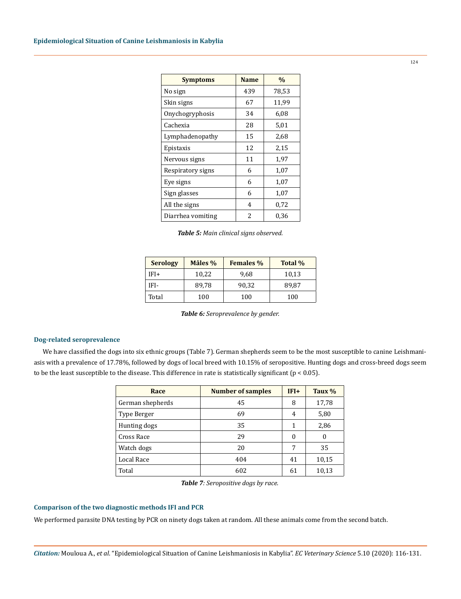| <b>Symptoms</b>   | <b>Name</b> | $\frac{0}{0}$ |
|-------------------|-------------|---------------|
| No sign           | 439         | 78,53         |
| Skin signs        | 67          | 11,99         |
| Onychogryphosis   | 34          | 6,08          |
| Cachexia          | 28          | 5,01          |
| Lymphadenopathy   | 15          | 2,68          |
| Epistaxis         | 12          | 2,15          |
| Nervous signs     | 11          | 1,97          |
| Respiratory signs | 6           | 1,07          |
| Eye signs         | 6           | 1,07          |
| Sign glasses      | 6           | 1,07          |
| All the signs     | 4           | 0,72          |
| Diarrhea vomiting | 2           | 0,36          |

| <b>Table 5:</b> Main clinical signs observed. |  |  |  |  |
|-----------------------------------------------|--|--|--|--|
|-----------------------------------------------|--|--|--|--|

| <b>Serology</b> | Mâles % | <b>Females %</b> | Total % |
|-----------------|---------|------------------|---------|
| IFI+            | 10.22   | 9.68             | 10,13   |
| IFI-            | 89.78   | 90.32            | 89.87   |
| Total           | 100     | 100              | 100     |

*Table 6: Seroprevalence by gender.*

# **Dog-related seroprevalence**

We have classified the dogs into six ethnic groups (Table 7). German shepherds seem to be the most susceptible to canine Leishmaniasis with a prevalence of 17.78%, followed by dogs of local breed with 10.15% of seropositive. Hunting dogs and cross-breed dogs seem to be the least susceptible to the disease. This difference in rate is statistically significant ( $p < 0.05$ ).

| Race             | <b>Number of samples</b> | $IFI+$ | Taux % |
|------------------|--------------------------|--------|--------|
| German shepherds | 45                       | 8      | 17,78  |
| Type Berger      | 69                       | 4      | 5,80   |
| Hunting dogs     | 35                       | 1      | 2,86   |
| Cross Race       | 29                       | 0      | 0      |
| Watch dogs       | 20                       | 7      | 35     |
| Local Race       | 404                      | 41     | 10,15  |
| Total            | 602                      | 61     | 10,13  |

*Table 7: Seropositive dogs by race.*

# **Comparison of the two diagnostic methods IFI and PCR**

We performed parasite DNA testing by PCR on ninety dogs taken at random. All these animals come from the second batch.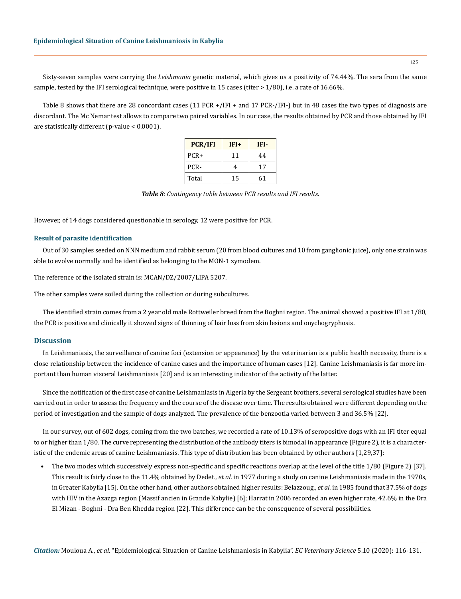Sixty-seven samples were carrying the *Leishmania* genetic material, which gives us a positivity of 74.44%. The sera from the same sample, tested by the IFI serological technique, were positive in 15 cases (titer  $> 1/80$ ), i.e. a rate of 16.66%.

Table 8 shows that there are 28 concordant cases (11 PCR +/IFI + and 17 PCR-/IFI-) but in 48 cases the two types of diagnosis are discordant. The Mc Nemar test allows to compare two paired variables. In our case, the results obtained by PCR and those obtained by IFI are statistically different (p-value < 0.0001).

| <b>PCR/IFI</b> | $IFI+$ | IFI- |  |
|----------------|--------|------|--|
| $PCR+$         | 11     | 44   |  |
| PCR-           | 4      | 17   |  |
| Total          | 15     | 61   |  |

*Table 8: Contingency table between PCR results and IFI results.*

However, of 14 dogs considered questionable in serology, 12 were positive for PCR.

#### **Result of parasite identification**

Out of 30 samples seeded on NNN medium and rabbit serum (20 from blood cultures and 10 from ganglionic juice), only one strain was able to evolve normally and be identified as belonging to the MON-1 zymodem.

The reference of the isolated strain is: MCAN/DZ/2007/LIPA 5207.

The other samples were soiled during the collection or during subcultures.

The identified strain comes from a 2 year old male Rottweiler breed from the Boghni region. The animal showed a positive IFI at 1/80, the PCR is positive and clinically it showed signs of thinning of hair loss from skin lesions and onychogryphosis.

## **Discussion**

In Leishmaniasis, the surveillance of canine foci (extension or appearance) by the veterinarian is a public health necessity, there is a close relationship between the incidence of canine cases and the importance of human cases [12]. Canine Leishmaniasis is far more important than human visceral Leishmaniasis [20] and is an interesting indicator of the activity of the latter.

Since the notification of the first case of canine Leishmaniasis in Algeria by the Sergeant brothers, several serological studies have been carried out in order to assess the frequency and the course of the disease over time. The results obtained were different depending on the period of investigation and the sample of dogs analyzed. The prevalence of the benzootia varied between 3 and 36.5% [22].

In our survey, out of 602 dogs, coming from the two batches, we recorded a rate of 10.13% of seropositive dogs with an IFI titer equal to or higher than 1/80. The curve representing the distribution of the antibody titers is bimodal in appearance (Figure 2), it is a characteristic of the endemic areas of canine Leishmaniasis. This type of distribution has been obtained by other authors [1,29,37]:

• The two modes which successively express non-specific and specific reactions overlap at the level of the title 1/80 (Figure 2) [37]. This result is fairly close to the 11.4% obtained by Dedet., *et al*. in 1977 during a study on canine Leishmaniasis made in the 1970s, in Greater Kabylia [15]. On the other hand, other authors obtained higher results: Belazzoug., *et al*. in 1985 found that 37.5% of dogs with HIV in the Azazga region (Massif ancien in Grande Kabylie) [6]; Harrat in 2006 recorded an even higher rate, 42.6% in the Dra El Mizan - Boghni - Dra Ben Khedda region [22]. This difference can be the consequence of several possibilities.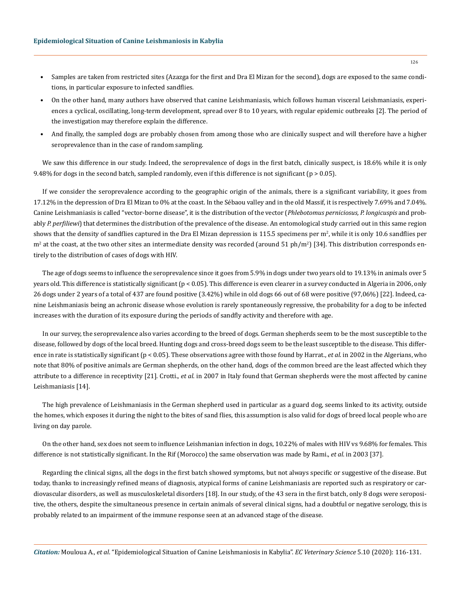- Samples are taken from restricted sites (Azazga for the first and Dra El Mizan for the second), dogs are exposed to the same conditions, in particular exposure to infected sandflies.
- On the other hand, many authors have observed that canine Leishmaniasis, which follows human visceral Leishmaniasis, experiences a cyclical, oscillating, long-term development, spread over 8 to 10 years, with regular epidemic outbreaks [2]. The period of the investigation may therefore explain the difference.
- And finally, the sampled dogs are probably chosen from among those who are clinically suspect and will therefore have a higher seroprevalence than in the case of random sampling.

We saw this difference in our study. Indeed, the seroprevalence of dogs in the first batch, clinically suspect, is 18.6% while it is only 9.48% for dogs in the second batch, sampled randomly, even if this difference is not significant ( $p > 0.05$ ).

If we consider the seroprevalence according to the geographic origin of the animals, there is a significant variability, it goes from 17.12% in the depression of Dra El Mizan to 0% at the coast. In the Sébaou valley and in the old Massif, it is respectively 7.69% and 7.04%. Canine Leishmaniasis is called "vector-borne disease", it is the distribution of the vector (*Phlebotomus perniciosus, P. longicuspis* and probably *P. perfiliewi*) that determines the distribution of the prevalence of the disease. An entomological study carried out in this same region shows that the density of sandflies captured in the Dra El Mizan depression is  $115.5$  specimens per m<sup>2</sup>, while it is only  $10.6$  sandflies per  $m^2$  at the coast, at the two other sites an intermediate density was recorded (around 51 ph/m<sup>2</sup>) [34]. This distribution corresponds entirely to the distribution of cases of dogs with HIV.

The age of dogs seems to influence the seroprevalence since it goes from 5.9% in dogs under two years old to 19.13% in animals over 5 years old. This difference is statistically significant (p < 0.05). This difference is even clearer in a survey conducted in Algeria in 2006, only 26 dogs under 2 years of a total of 437 are found positive (3.42%) while in old dogs 66 out of 68 were positive (97,06%) [22]. Indeed, canine Leishmaniasis being an achronic disease whose evolution is rarely spontaneously regressive, the probability for a dog to be infected increases with the duration of its exposure during the periods of sandfly activity and therefore with age.

In our survey, the seroprevalence also varies according to the breed of dogs. German shepherds seem to be the most susceptible to the disease, followed by dogs of the local breed. Hunting dogs and cross-breed dogs seem to be the least susceptible to the disease. This difference in rate is statistically significant (p < 0.05). These observations agree with those found by Harrat., *et al*. in 2002 in the Algerians, who note that 80% of positive animals are German shepherds, on the other hand, dogs of the common breed are the least affected which they attribute to a difference in receptivity [21]. Crotti., *et al*. in 2007 in Italy found that German shepherds were the most affected by canine Leishmaniasis [14].

The high prevalence of Leishmaniasis in the German shepherd used in particular as a guard dog, seems linked to its activity, outside the homes, which exposes it during the night to the bites of sand flies, this assumption is also valid for dogs of breed local people who are living on day parole.

On the other hand, sex does not seem to influence Leishmanian infection in dogs, 10.22% of males with HIV vs 9.68% for females. This difference is not statistically significant. In the Rif (Morocco) the same observation was made by Rami., *et al*. in 2003 [37].

Regarding the clinical signs, all the dogs in the first batch showed symptoms, but not always specific or suggestive of the disease. But today, thanks to increasingly refined means of diagnosis, atypical forms of canine Leishmaniasis are reported such as respiratory or cardiovascular disorders, as well as musculoskeletal disorders [18]. In our study, of the 43 sera in the first batch, only 8 dogs were seropositive, the others, despite the simultaneous presence in certain animals of several clinical signs, had a doubtful or negative serology, this is probably related to an impairment of the immune response seen at an advanced stage of the disease.

*Citation:* Mouloua A., *et al*. "Epidemiological Situation of Canine Leishmaniosis in Kabylia". *EC Veterinary Science* 5.10 (2020): 116-131.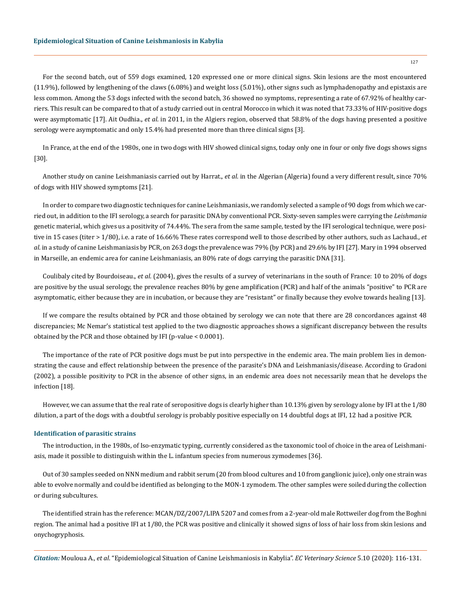# **Epidemiological Situation of Canine Leishmaniosis in Kabylia**

For the second batch, out of 559 dogs examined, 120 expressed one or more clinical signs. Skin lesions are the most encountered (11.9%), followed by lengthening of the claws (6.08%) and weight loss (5.01%), other signs such as lymphadenopathy and epistaxis are less common. Among the 53 dogs infected with the second batch, 36 showed no symptoms, representing a rate of 67.92% of healthy carriers. This result can be compared to that of a study carried out in central Morocco in which it was noted that 73.33% of HIV-positive dogs were asymptomatic [17]. Ait Oudhia., *et al*. in 2011, in the Algiers region, observed that 58.8% of the dogs having presented a positive serology were asymptomatic and only 15.4% had presented more than three clinical signs [3].

In France, at the end of the 1980s, one in two dogs with HIV showed clinical signs, today only one in four or only five dogs shows signs [30].

Another study on canine Leishmaniasis carried out by Harrat., *et al*. in the Algerian (Algeria) found a very different result, since 70% of dogs with HIV showed symptoms [21].

In order to compare two diagnostic techniques for canine Leishmaniasis, we randomly selected a sample of 90 dogs from which we carried out, in addition to the IFI serology, a search for parasitic DNA by conventional PCR. Sixty-seven samples were carrying the *Leishmania* genetic material, which gives us a positivity of 74.44%. The sera from the same sample, tested by the IFI serological technique, were positive in 15 cases (titer > 1/80), i.e. a rate of 16.66% These rates correspond well to those described by other authors, such as Lachaud., *et al*. in a study of canine Leishmaniasis by PCR, on 263 dogs the prevalence was 79% (by PCR) and 29.6% by IFI [27]. Mary in 1994 observed in Marseille, an endemic area for canine Leishmaniasis, an 80% rate of dogs carrying the parasitic DNA [31].

Coulibaly cited by Bourdoiseau., *et al*. (2004), gives the results of a survey of veterinarians in the south of France: 10 to 20% of dogs are positive by the usual serology, the prevalence reaches 80% by gene amplification (PCR) and half of the animals "positive" to PCR are asymptomatic, either because they are in incubation, or because they are "resistant" or finally because they evolve towards healing [13].

If we compare the results obtained by PCR and those obtained by serology we can note that there are 28 concordances against 48 discrepancies; Mc Nemar's statistical test applied to the two diagnostic approaches shows a significant discrepancy between the results obtained by the PCR and those obtained by IFI (p-value < 0.0001).

The importance of the rate of PCR positive dogs must be put into perspective in the endemic area. The main problem lies in demonstrating the cause and effect relationship between the presence of the parasite's DNA and Leishmaniasis/disease. According to Gradoni (2002), a possible positivity to PCR in the absence of other signs, in an endemic area does not necessarily mean that he develops the infection [18].

However, we can assume that the real rate of seropositive dogs is clearly higher than 10.13% given by serology alone by IFI at the 1/80 dilution, a part of the dogs with a doubtful serology is probably positive especially on 14 doubtful dogs at IFI, 12 had a positive PCR.

# **Identification of parasitic strains**

The introduction, in the 1980s, of Iso-enzymatic typing, currently considered as the taxonomic tool of choice in the area of Leishmaniasis, made it possible to distinguish within the L. infantum species from numerous zymodemes [36].

Out of 30 samples seeded on NNN medium and rabbit serum (20 from blood cultures and 10 from ganglionic juice), only one strain was able to evolve normally and could be identified as belonging to the MON-1 zymodem. The other samples were soiled during the collection or during subcultures.

The identified strain has the reference: MCAN/DZ/2007/LIPA 5207 and comes from a 2-year-old male Rottweiler dog from the Boghni region. The animal had a positive IFI at 1/80, the PCR was positive and clinically it showed signs of loss of hair loss from skin lesions and onychogryphosis.

*Citation:* Mouloua A., *et al*. "Epidemiological Situation of Canine Leishmaniosis in Kabylia". *EC Veterinary Science* 5.10 (2020): 116-131.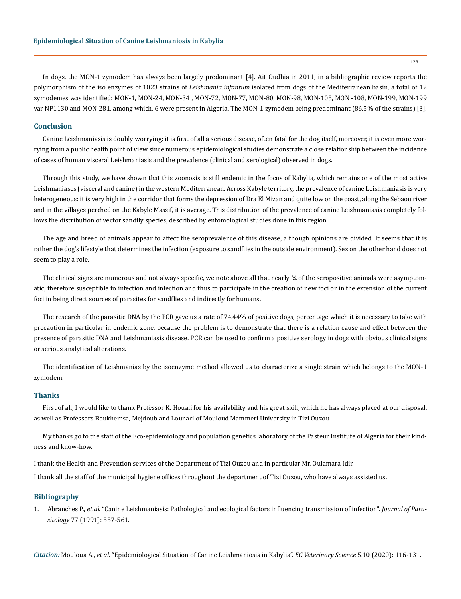In dogs, the MON-1 zymodem has always been largely predominant [4]. Ait Oudhia in 2011, in a bibliographic review reports the polymorphism of the iso enzymes of 1023 strains of *Leishmania infantum* isolated from dogs of the Mediterranean basin, a total of 12 zymodemes was identified: MON-1, MON-24, MON-34 , MON-72, MON-77, MON-80, MON-98, MON-105, MON -108, MON-199, MON-199 var NP1130 and MON-281, among which, 6 were present in Algeria. The MON-1 zymodem being predominant (86.5% of the strains) [3].

# **Conclusion**

Canine Leishmaniasis is doubly worrying: it is first of all a serious disease, often fatal for the dog itself, moreover, it is even more worrying from a public health point of view since numerous epidemiological studies demonstrate a close relationship between the incidence of cases of human visceral Leishmaniasis and the prevalence (clinical and serological) observed in dogs.

Through this study, we have shown that this zoonosis is still endemic in the focus of Kabylia, which remains one of the most active Leishmaniases (visceral and canine) in the western Mediterranean. Across Kabyle territory, the prevalence of canine Leishmaniasis is very heterogeneous: it is very high in the corridor that forms the depression of Dra El Mizan and quite low on the coast, along the Sebaou river and in the villages perched on the Kabyle Massif, it is average. This distribution of the prevalence of canine Leishmaniasis completely follows the distribution of vector sandfly species, described by entomological studies done in this region.

The age and breed of animals appear to affect the seroprevalence of this disease, although opinions are divided. It seems that it is rather the dog's lifestyle that determines the infection (exposure to sandflies in the outside environment). Sex on the other hand does not seem to play a role.

The clinical signs are numerous and not always specific, we note above all that nearly 34 of the seropositive animals were asymptomatic, therefore susceptible to infection and infection and thus to participate in the creation of new foci or in the extension of the current foci in being direct sources of parasites for sandflies and indirectly for humans.

The research of the parasitic DNA by the PCR gave us a rate of 74.44% of positive dogs, percentage which it is necessary to take with precaution in particular in endemic zone, because the problem is to demonstrate that there is a relation cause and effect between the presence of parasitic DNA and Leishmaniasis disease. PCR can be used to confirm a positive serology in dogs with obvious clinical signs or serious analytical alterations.

The identification of Leishmanias by the isoenzyme method allowed us to characterize a single strain which belongs to the MON-1 zymodem.

#### **Thanks**

First of all, I would like to thank Professor K. Houali for his availability and his great skill, which he has always placed at our disposal, as well as Professors Boukhemsa, Mejdoub and Lounaci of Mouloud Mammeri University in Tizi Ouzou.

My thanks go to the staff of the Eco-epidemiology and population genetics laboratory of the Pasteur Institute of Algeria for their kindness and know-how.

I thank the Health and Prevention services of the Department of Tizi Ouzou and in particular Mr. Oulamara Idir.

I thank all the staff of the municipal hygiene offices throughout the department of Tizi Ouzou, who have always assisted us.

# **Bibliography**

1. Abranches P., *et al.* ["Canine Leishmaniasis: Pathological and ecological factors influencing transmission of infection".](https://pubmed.ncbi.nlm.nih.gov/1865262/) *Journal of Parasitology* [77 \(1991\): 557-561.](https://pubmed.ncbi.nlm.nih.gov/1865262/)

*Citation:* Mouloua A., *et al*. "Epidemiological Situation of Canine Leishmaniosis in Kabylia". *EC Veterinary Science* 5.10 (2020): 116-131.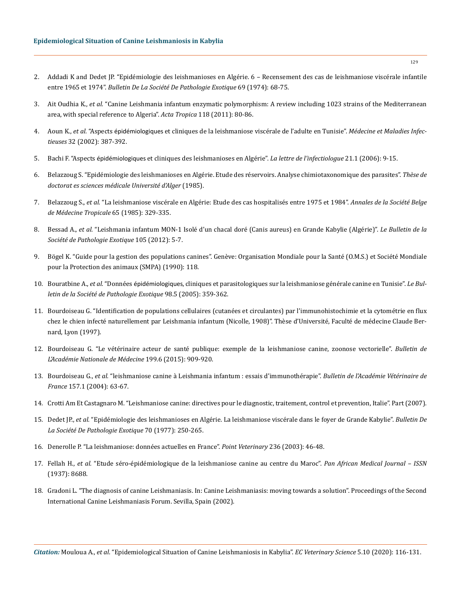- 2. Addadi K and Dedet JP. "Epidémiologie des leishmanioses en Algérie. 6 Recensement des cas de leishmaniose viscérale infantile entre 1965 et 1974". *Bulletin De La Société De Pathologie Exotique* 69 (1974): 68-75.
- 3. Ait Oudhia K., *et al.* ["Canine Leishmania infantum enzymatic polymorphism: A review including 1023 strains of the Mediterranean](https://www.researchgate.net/publication/50592743_Canine_Leishmania_infantum_enzymatic_polymorphism_A_review_including_1023_strains_of_the_Mediterranean_area_with_special_reference_to_Algeria)  [area, with special reference to Algeria".](https://www.researchgate.net/publication/50592743_Canine_Leishmania_infantum_enzymatic_polymorphism_A_review_including_1023_strains_of_the_Mediterranean_area_with_special_reference_to_Algeria) *Acta Tropica* 118 (2011): 80-86.
- 4. Aoun K., *et al.* "Aspects épidémiologiques [et cliniques de la leishmaniose viscérale de l'adulte en Tunisie".](https://www.sciencedirect.com/science/article/pii/S0399077X02003864) *Médecine et Maladies Infectieuses* [32 \(2002\): 387-392.](https://www.sciencedirect.com/science/article/pii/S0399077X02003864)
- 5. Bachi F. "Aspects épidémiologiques [et cliniques des leishmanioses en Algérie".](https://www.edimark.fr/Front/frontpost/getfiles/11867.pdf) *La lettre de l'infectiologue* 21.1 (2006): 9-15.
- 6. [Belazzoug S. "Epidémiologie des leishmanioses en Algérie. Etude des réservoirs. Analyse chimiotaxonomique des parasites".](https://link.springer.com/chapter/10.1007/978-1-4613-1575-9_3) *Thèse de [doctorat es sciences médicale Université d'Alger](https://link.springer.com/chapter/10.1007/978-1-4613-1575-9_3)* (1985).
- 7. Belazzoug S., *et al.* "La leishmaniose viscérale en Algérie: Etude des cas hospitalisés entre 1975 et 1984". *Annales de la Société Belge de Médecine Tropicale* 65 (1985): 329-335.
- 8. Bessad A., *et al.* ["Leishmania infantum MON-1 Isolé d'un chacal doré \(Canis aureus\) en Grande Kabylie \(Algérie\)".](https://www.researchgate.net/publication/257796800_Leishmania_infantum_MON-1_isole_d%27un_chacal_dore_Canis_aureus_en_Grande_Kabylie_Algerie) *Le Bulletin de la [Société de Pathologie Exotique](https://www.researchgate.net/publication/257796800_Leishmania_infantum_MON-1_isole_d%27un_chacal_dore_Canis_aureus_en_Grande_Kabylie_Algerie)* 105 (2012): 5-7.
- 9. Bögel K. "Guide pour la gestion des populations canines". Genève: Organisation Mondiale pour la Santé (O.M.S.) et Société Mondiale pour la Protection des animaux (SMPA) (1990): 118.
- 10. Bouratbine A., *et al.* "Données épidémiologiques[, cliniques et parasitologiques sur la leishmaniose générale canine en Tunisie".](https://www.researchgate.net/publication/284049231_Donnees_epidemiologiques_cliniques_et_parasitologiques_actualisees_de_la_leishmaniose_cutanee_en_Tunisie) *Le Bul[letin de la Société de Pathologie Exotique](https://www.researchgate.net/publication/284049231_Donnees_epidemiologiques_cliniques_et_parasitologiques_actualisees_de_la_leishmaniose_cutanee_en_Tunisie)* 98.5 (2005): 359-362.
- 11. Bourdoiseau G. "Identification de populations cellulaires (cutanées et circulantes) par l'immunohistochimie et la cytométrie en flux chez le chien infecté naturellement par Leishmania infantum (Nicolle, 1908)". Thèse d'Université, Faculté de médecine Claude Bernard, Lyon (1997).
- 12. [Bourdoiseau G. "Le vétérinaire acteur de santé publique: exemple de la leishmaniose canine, zoonose vectorielle".](https://www.sciencedirect.com/science/article/pii/S0001407919308945) *Bulletin de [L'Académie Nationale de Médecine](https://www.sciencedirect.com/science/article/pii/S0001407919308945)* 199.6 (2015): 909-920.
- 13. Bourdoiseau G., *et al.* ["leishmaniose canine à Leishmania infantum : essais d'immunothérapie".](https://www.researchgate.net/publication/280746543_La_leishmaniose_canine_a_Leishmania_infantum_essais_d%27immunotherapie) *Bulletin de l'Académie Vétérinaire de France* [157.1 \(2004\): 63-67.](https://www.researchgate.net/publication/280746543_La_leishmaniose_canine_a_Leishmania_infantum_essais_d%27immunotherapie)
- 14. Crotti Am Et Castagnaro M. "Leishmaniose canine: directives pour le diagnostic, traitement, control et prevention, Italie". Part (2007).
- 15. Dedet JP., *et al.* "Epidémiologie des leishmanioses en Algérie. La leishmaniose viscérale dans le foyer de Grande Kabylie". *Bulletin De La Société De Pathologie Exotique* 70 (1977): 250-265.
- 16. [Denerolle P. "La leishmaniose: données actuelles en France".](https://www.lepointveterinaire.fr/publications/le-point-veterinaire/article/n-236/la-leishmaniose-donnees-actuelles-en-france.html) *Point Veterinary* 236 (2003): 46-48.
- 17. Fellah H., *et al.* ["Etude séro-épidémiologique de la leishmaniose canine au centre du Maroc".](https://www.ncbi.nlm.nih.gov/pmc/articles/PMC4382072/) *Pan African Medical Journal ISSN* [\(1937\): 8688.](https://www.ncbi.nlm.nih.gov/pmc/articles/PMC4382072/)
- 18. Gradoni L. "The diagnosis of canine Leishmaniasis. In: Canine Leishmaniasis: moving towards a solution". Proceedings of the Second International Canine Leishmaniasis Forum. Sevilla, Spain (2002).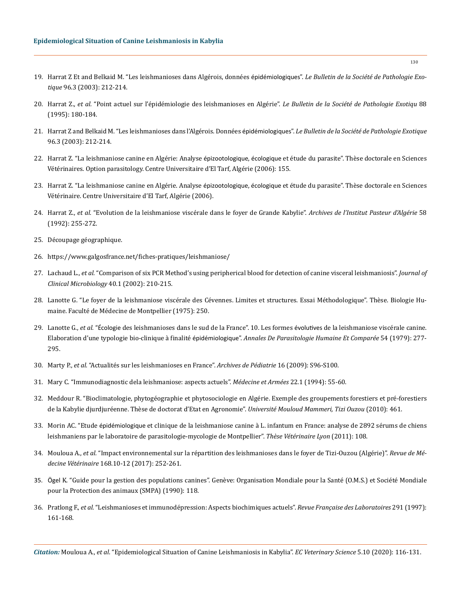- 19. [Harrat Z Et and Belkaid M. "Les leishmanioses dans Algérois, données](https://www.semanticscholar.org/paper/Les-leishmanioses-dans-l%27Alg%C3%A9rois.-Donn%C3%A9es-Harrat-Belkaid/5fedb7c7153b3fe3c96974617898ab7e5bfcc641) épidémiologiques". *Le Bulletin de la Société de Pathologie Exotique* [96.3 \(2003\): 212-214.](https://www.semanticscholar.org/paper/Les-leishmanioses-dans-l%27Alg%C3%A9rois.-Donn%C3%A9es-Harrat-Belkaid/5fedb7c7153b3fe3c96974617898ab7e5bfcc641)
- 20. Harrat Z., *et al.* "Point actuel sur l'épidémiologie des leishmanioses en Algérie". *Le Bulletin de la Société de Pathologie Exotiqu* 88 (1995): 180-184.
- 21. [Harrat Z and Belkaid M. "Les leishmanioses dans l'Algérois. Données](https://www.researchgate.net/publication/9037632_Leishmaniasis_in_Algiers_epidemiologic_data) épidémiologiques". *Le Bulletin de la Société de Pathologie Exotique*  [96.3 \(2003\): 212-214.](https://www.researchgate.net/publication/9037632_Leishmaniasis_in_Algiers_epidemiologic_data)
- 22. Harrat Z. "La leishmaniose canine en Algérie: Analyse épizootologique, écologique et étude du parasite". Thèse doctorale en Sciences Vétérinaires. Option parasitology. Centre Universitaire d'El Tarf, Algérie (2006): 155.
- 23. Harrat Z. "La leishmaniose canine en Algérie. Analyse épizootologique, écologique et étude du parasite". Thèse doctorale en Sciences Vétérinaire. Centre Universitaire d'El Tarf, Algérie (2006).
- 24. Harrat Z., *et al.* "Evolution de la leishmaniose viscérale dans le foyer de Grande Kabylie". *Archives de l'Institut Pasteur d'Algérie* 58 (1992): 255-272.
- 25. [Découpage géographique.](http://wilaya-tiziouzou.dz/presentation/wp)
- 26. <https://www.galgosfrance.net/fiches-pratiques/leishmaniose/>
- 27. Lachaud L., *et al.* ["Comparison of six PCR Method's using peripherical blood for detection of canine visceral leishmaniosis".](https://www.ncbi.nlm.nih.gov/pmc/articles/PMC120090/) *Journal of [Clinical Microbiology](https://www.ncbi.nlm.nih.gov/pmc/articles/PMC120090/)* 40.1 (2002): 210-215.
- 28. Lanotte G. "Le foyer de la leishmaniose viscérale des Cévennes. Limites et structures. Essai Méthodologique". Thèse. Biologie Humaine. Faculté de Médecine de Montpellier (1975): 250.
- 29. Lanotte G., *et al.* "Écologie [des leishmanioses dans le sud de la France". 10. Les formes](https://www.parasite-journal.org/articles/parasite/pdf/1979/03/parasite1979543p277.pdf) évolutives de la leishmaniose viscérale canine. Elaboration d'une typologie bio-clinique à finalité épidémiologique". *[Annales De Parasitologie Humaine Et Comparée](https://www.parasite-journal.org/articles/parasite/pdf/1979/03/parasite1979543p277.pdf)* 54 (1979): 277- [295.](https://www.parasite-journal.org/articles/parasite/pdf/1979/03/parasite1979543p277.pdf)
- 30. Marty P., *et al.* ["Actualités sur les leishmanioses en France".](https://www.sciencedirect.com/science/article/abs/pii/S0929693X09753102) *Archives de Pédiatrie* 16 (2009): S96-S100.
- 31. Mary C. "Immunodiagnostic dela leishmaniose: aspects actuels". *Médecine et Armées* 22.1 (1994): 55-60.
- 32. [Meddour R. "Bioclimatologie, phytogéographie et phytosociologie en Algérie. Exemple des groupements forestiers et pré-forestiers](https://dl.ummto.dz/handle/ummto/1849)  [de la Kabylie djurdjuréenne. Thèse de doctorat d'Etat en Agronomie".](https://dl.ummto.dz/handle/ummto/1849) *Université Mouloud Mammeri, Tizi Ouzou* (2010): 461.
- 33. Morin AC. "Etude épidémiologique [et clinique de la leishmaniose canine à L. infantum en France: analyse de 2892 sérums de chiens](http://www.opengrey.eu/item/display/10068/853302)  [leishmaniens par le laboratoire de parasitologie-mycologie de Montpellier".](http://www.opengrey.eu/item/display/10068/853302) *Thèse Vétérinaire Lyon* (2011): 108.
- 34. Mouloua A., *et al.* ["Impact environnemental sur la répartition des leishmanioses dans le foyer de Tizi-Ouzou \(Algérie\)".](https://www.revmedvet.com/2017/RMV168_252_261.pdf) *Revue de Médecine Vétérinaire* [168.10-12 \(2017\): 252-261.](https://www.revmedvet.com/2017/RMV168_252_261.pdf)
- 35. Ögel K. "Guide pour la gestion des populations canines". Genève: Organisation Mondiale pour la Santé (O.M.S.) et Société Mondiale pour la Protection des animaux (SMPA) (1990): 118.
- 36. Pratlong F., *et al.* "Leishmanioses et immunodépression: Aspects biochimiques actuels". *Revue Française des Laboratoires* 291 (1997): 161-168.

*Citation:* Mouloua A., *et al*. "Epidemiological Situation of Canine Leishmaniosis in Kabylia". *EC Veterinary Science* 5.10 (2020): 116-131.